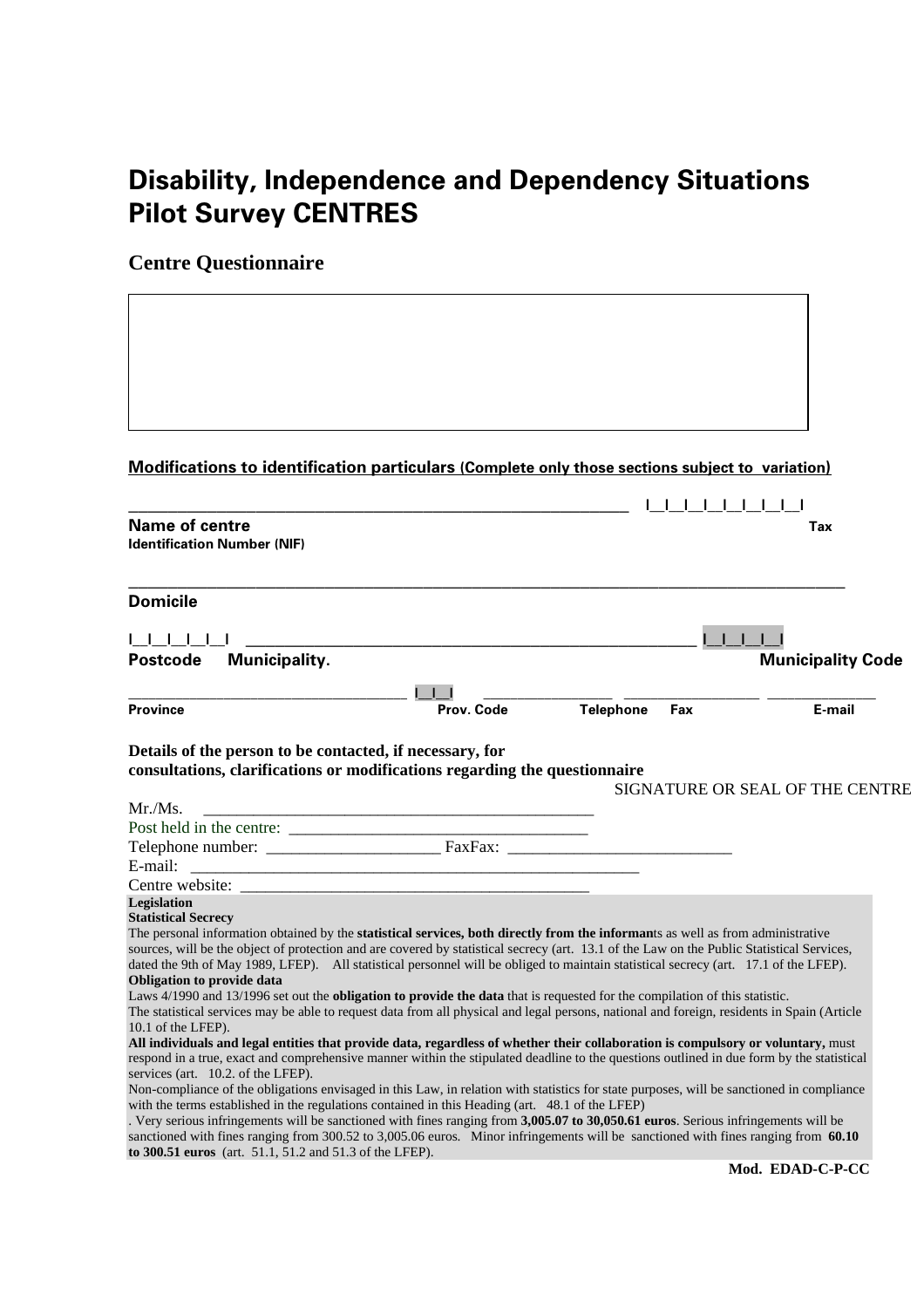# **Disability, Independence and Dependency Situations Pilot Survey CENTRES**

**Centre Questionnaire** 

**Modifications to identification particulars (Complete only those sections subject to variation)**

| <b>Name of centre</b><br><b>Identification Number (NIF)</b>                                                                                                                                                                                                                                                                        |            |                         | Tax                             |
|------------------------------------------------------------------------------------------------------------------------------------------------------------------------------------------------------------------------------------------------------------------------------------------------------------------------------------|------------|-------------------------|---------------------------------|
|                                                                                                                                                                                                                                                                                                                                    |            |                         |                                 |
| <b>Domicile</b>                                                                                                                                                                                                                                                                                                                    |            |                         |                                 |
|                                                                                                                                                                                                                                                                                                                                    |            |                         |                                 |
| Municipality.<br><b>Postcode</b>                                                                                                                                                                                                                                                                                                   |            |                         | <b>Municipality Code</b>        |
|                                                                                                                                                                                                                                                                                                                                    |            |                         |                                 |
| <b>Province</b>                                                                                                                                                                                                                                                                                                                    | Prov. Code | <b>Telephone</b><br>Fax | E-mail                          |
|                                                                                                                                                                                                                                                                                                                                    |            |                         |                                 |
| consultations, clarifications or modifications regarding the questionnaire<br>Mr./Ms.                                                                                                                                                                                                                                              |            |                         | SIGNATURE OR SEAL OF THE CENTRE |
|                                                                                                                                                                                                                                                                                                                                    |            |                         |                                 |
|                                                                                                                                                                                                                                                                                                                                    |            |                         |                                 |
| E-mail:                                                                                                                                                                                                                                                                                                                            |            |                         |                                 |
|                                                                                                                                                                                                                                                                                                                                    |            |                         |                                 |
| Legislation                                                                                                                                                                                                                                                                                                                        |            |                         |                                 |
| <b>Statistical Secrecy</b>                                                                                                                                                                                                                                                                                                         |            |                         |                                 |
| The personal information obtained by the statistical services, both directly from the informants as well as from administrative<br>sources, will be the object of protection and are covered by statistical secrecy (art. 13.1 of the Law on the Public Statistical Services,                                                      |            |                         |                                 |
| dated the 9th of May 1989, LFEP). All statistical personnel will be obliged to maintain statistical secrecy (art. 17.1 of the LFEP).                                                                                                                                                                                               |            |                         |                                 |
| <b>Obligation to provide data</b>                                                                                                                                                                                                                                                                                                  |            |                         |                                 |
| Laws 4/1990 and 13/1996 set out the <b>obligation to provide the data</b> that is requested for the compilation of this statistic.                                                                                                                                                                                                 |            |                         |                                 |
| The statistical services may be able to request data from all physical and legal persons, national and foreign, residents in Spain (Article                                                                                                                                                                                        |            |                         |                                 |
| 10.1 of the LFEP).<br>All individuals and legal entities that provide data, regardless of whether their collaboration is compulsory or voluntary, must                                                                                                                                                                             |            |                         |                                 |
| respond in a true, exact and comprehensive manner within the stipulated deadline to the questions outlined in due form by the statistical                                                                                                                                                                                          |            |                         |                                 |
| services (art. 10.2. of the LFEP).                                                                                                                                                                                                                                                                                                 |            |                         |                                 |
| Non-compliance of the obligations envisaged in this Law, in relation with statistics for state purposes, will be sanctioned in compliance                                                                                                                                                                                          |            |                         |                                 |
| with the terms established in the regulations contained in this Heading (art. 48.1 of the LFEP)                                                                                                                                                                                                                                    |            |                         |                                 |
| . Very serious infringements will be sanctioned with fines ranging from 3,005.07 to 30,050.61 euros. Serious infringements will be<br>sanctioned with fines ranging from 300.52 to 3,005.06 euros. Minor infringements will be sanctioned with fines ranging from 60.10<br>to 300.51 euros (art. 51.1, 51.2 and 51.3 of the LFEP). |            |                         |                                 |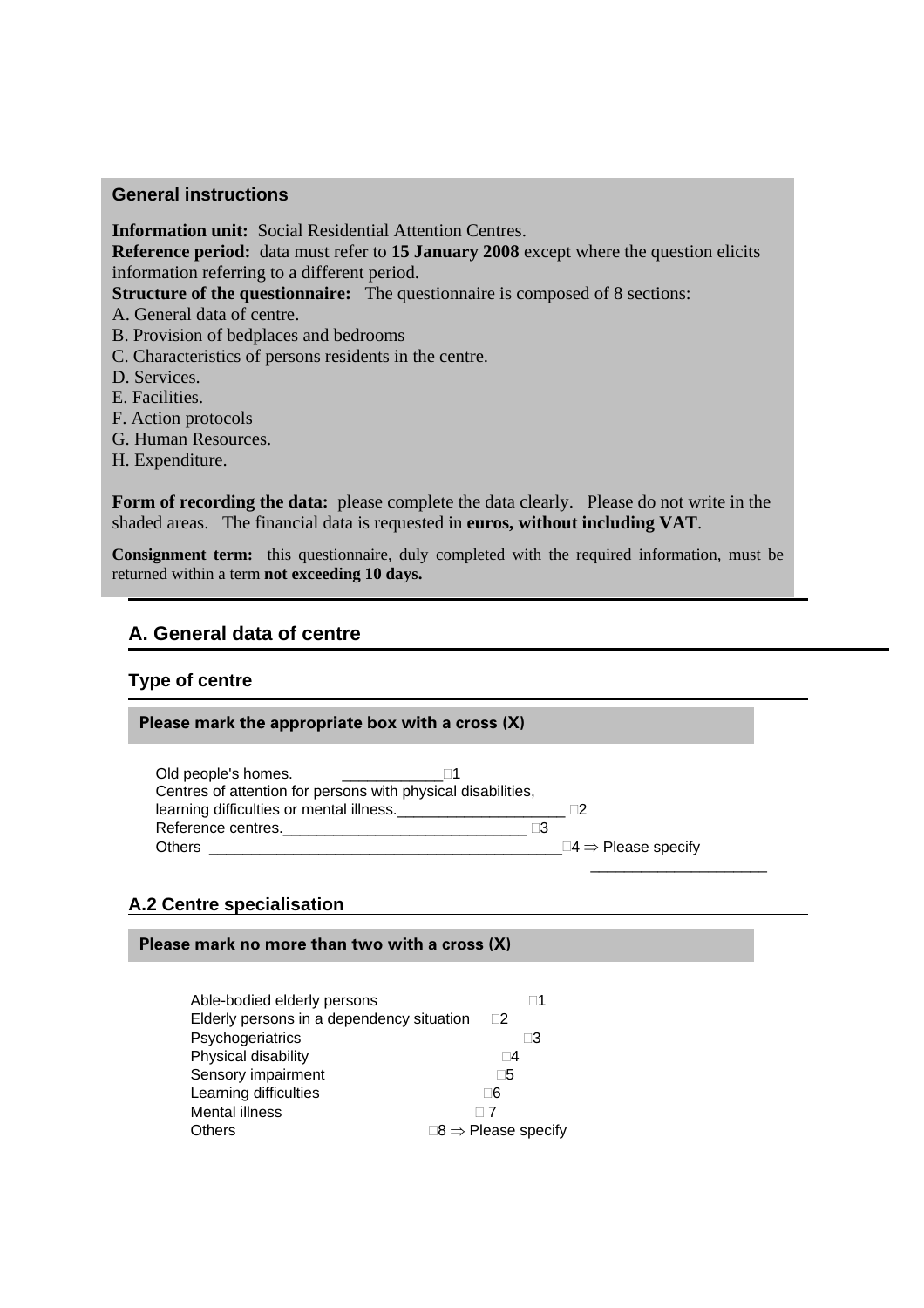#### **General instructions**

**Information unit:** Social Residential Attention Centres. **Reference period:** data must refer to **15 January 2008** except where the question elicits information referring to a different period. **Structure of the questionnaire:** The questionnaire is composed of 8 sections: A. General data of centre. B. Provision of bedplaces and bedrooms C. Characteristics of persons residents in the centre. D. Services. E. Facilities.

- F. Action protocols
- G. Human Resources.
- H. Expenditure.

Form of recording the data: please complete the data clearly. Please do not write in the shaded areas. The financial data is requested in **euros, without including VAT**.

**A. General data of centre Consignment term:** this questionnaire, duly completed with the required information, must be returned within a term **not exceeding 10 days.**

# **A. General data of centre**

#### **Type of centre**

#### **Please mark the appropriate box with a cross (X)**

| Old people's homes.<br>Centres of attention for persons with physical disabilities, |          |                                        |
|-------------------------------------------------------------------------------------|----------|----------------------------------------|
| learning difficulties or mental illness.                                            |          |                                        |
| Reference centres.                                                                  | $\Box 3$ |                                        |
| <b>Others</b>                                                                       |          | $\square 4 \Rightarrow$ Please specify |
|                                                                                     |          |                                        |

#### **A.2 Centre specialisation**

#### **Please mark no more than two with a cross (X)**

| Able-bodied elderly persons               |                                     |
|-------------------------------------------|-------------------------------------|
| Elderly persons in a dependency situation | $\Box$ 2                            |
| Psychogeriatrics                          | Π3                                  |
| Physical disability                       | $\Box 4$                            |
| Sensory impairment                        | ∏5                                  |
| Learning difficulties                     | ୮6                                  |
| Mental illness                            | $\sqcap$ 7                          |
| <b>Others</b>                             | $\Box 8 \Rightarrow$ Please specify |
|                                           |                                     |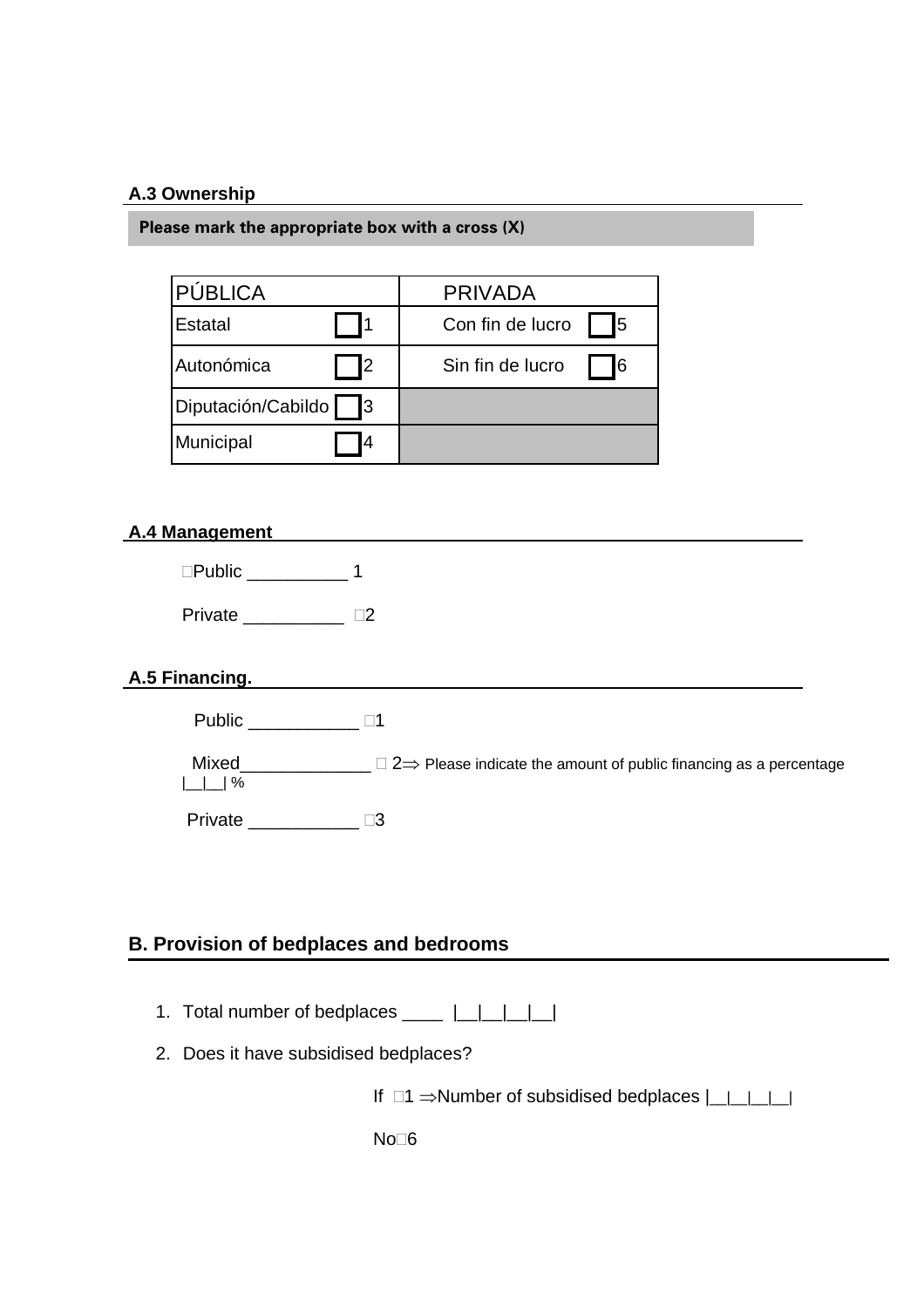# **A.3 Ownership**

**Please mark the appropriate box with a cross (X)** 

| PÚBLICA                 | <b>PRIVADA</b>         |
|-------------------------|------------------------|
| Estatal                 | 15<br>Con fin de lucro |
| Autonómica<br><b>2</b>  | I6<br>Sin fin de lucro |
| Diputación/Cabildo<br>3 |                        |
| Municipal<br>4          |                        |

#### **A.4 Management**

| $\square$ Public |  |
|------------------|--|
| Private          |  |

#### **A.5 Financing.**

| Public |  |
|--------|--|
|--------|--|

| Mixed                               | $\Box$ 2 $\Rightarrow$ Please indicate the amount of public financing as a percentage |
|-------------------------------------|---------------------------------------------------------------------------------------|
| $\lfloor \lfloor \rfloor \rfloor$ % |                                                                                       |
|                                     |                                                                                       |

Private \_\_\_\_\_\_\_\_\_\_\_\_\_\_ <sup>[3]</sup>

# **B. Provision of bedplaces and bedrooms**

- 1. Total number of bedplaces \_\_\_\_ |\_\_|\_\_|\_\_|\_\_|
- 2. Does it have subsidised bedplaces?

If  $\Box$ 1  $\Rightarrow$  Number of subsidised bedplaces  $|\underline{\hspace{1cm}}|$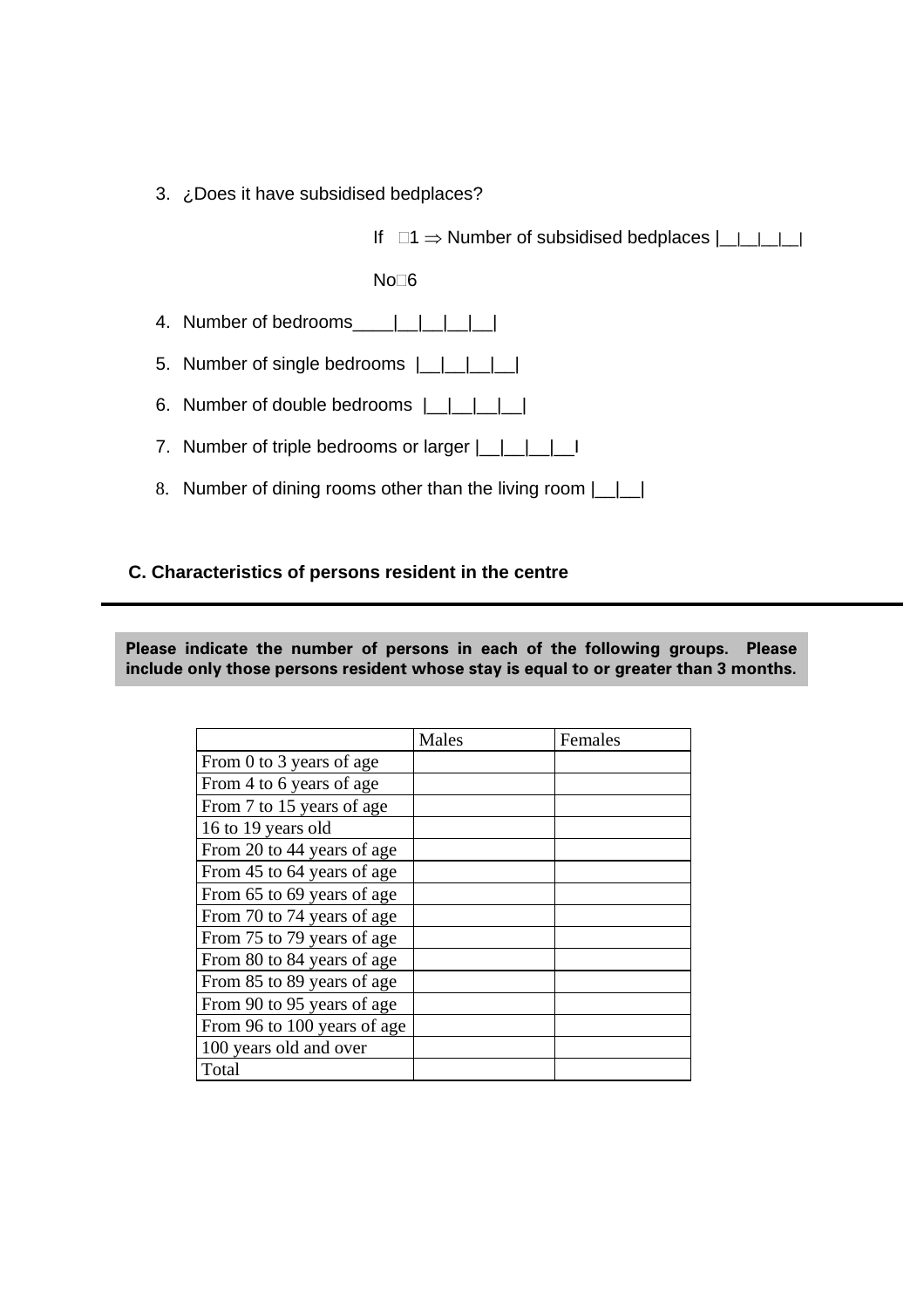3. ¿Does it have subsidised bedplaces?

If  $\Box$ 1  $\Rightarrow$  Number of subsidised bedplaces  $|\underline{\ }|$ 

 $No<sub>6</sub>$ 

- 4. Number of bedrooms\_\_\_\_|\_\_|\_\_|\_\_|\_\_|
- 5. Number of single bedrooms  $|$  | | | | |
- 6. Number of double bedrooms  $|$  | | | |
- 7. Number of triple bedrooms or larger  $\lfloor \underline{\hspace{1cm}} \rfloor \lfloor \underline{\hspace{1cm}} \rfloor \lfloor \underline{\hspace{1cm}} \rfloor$
- 8. Number of dining rooms other than the living room  $\lfloor \quad \rfloor \rfloor$

#### **C. Characteristics of persons resident in the centre**

**Please indicate the number of persons in each of the following groups. Please include only those persons resident whose stay is equal to or greater than 3 months.**

|                             | Males | Females |
|-----------------------------|-------|---------|
| From 0 to 3 years of age    |       |         |
| From 4 to 6 years of age    |       |         |
| From 7 to 15 years of age   |       |         |
| 16 to 19 years old          |       |         |
| From 20 to 44 years of age  |       |         |
| From 45 to 64 years of age  |       |         |
| From 65 to 69 years of age  |       |         |
| From 70 to 74 years of age  |       |         |
| From 75 to 79 years of age  |       |         |
| From 80 to 84 years of age  |       |         |
| From 85 to 89 years of age  |       |         |
| From 90 to 95 years of age  |       |         |
| From 96 to 100 years of age |       |         |
| 100 years old and over      |       |         |
| Total                       |       |         |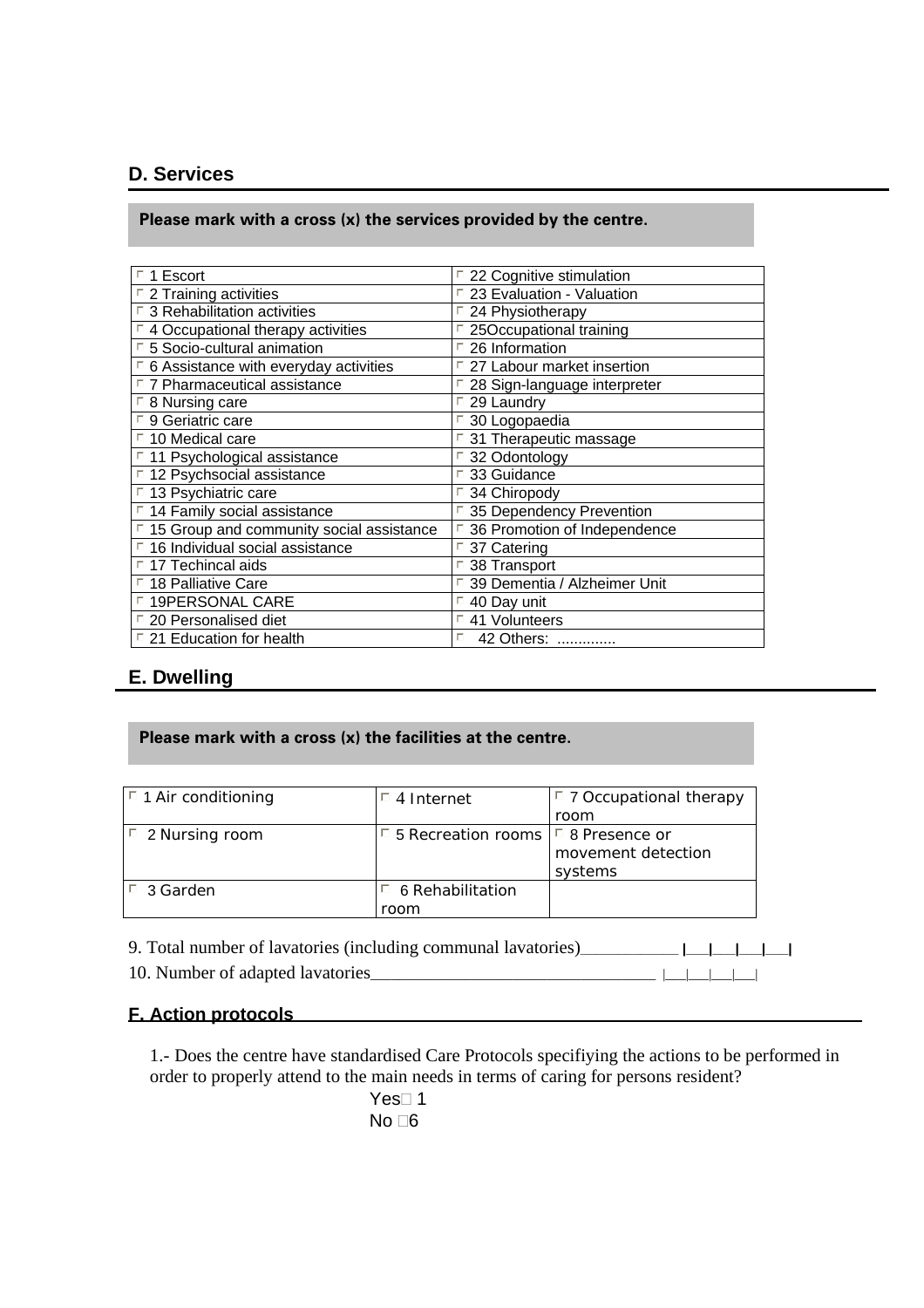# **D. Services**

#### **Please mark with a cross (x) the services provided by the centre.**

| $\Box$ 1 Escort                                         | $\Box$ 22 Cognitive stimulation |
|---------------------------------------------------------|---------------------------------|
| $\Box$ 2 Training activities                            | □ 23 Evaluation - Valuation     |
| $\Box$ 3 Rehabilitation activities                      | $\Box$ 24 Physiotherapy         |
| $\Box$ 4 Occupational therapy activities                | □ 25Occupational training       |
| 5 Socio-cultural animation                              | $\Box$ 26 Information           |
| $\Box$ 6 Assistance with everyday activities            | □ 27 Labour market insertion    |
| $\Box$ 7 Pharmaceutical assistance                      | □ 28 Sign-language interpreter  |
| $\Box$ 8 Nursing care                                   | $\Box$ 29 Laundry               |
| □ 9 Geriatric care                                      | □ 30 Logopaedia                 |
| $\Box$ 10 Medical care                                  | $\Box$ 31 Therapeutic massage   |
| $\Box$ 11 Psychological assistance                      | □ 32 Odontology                 |
| □ 12 Psychsocial assistance                             | □ 33 Guidance                   |
| $\overline{1}$ 13 Psychiatric care                      | □ 34 Chiropody                  |
| □ 14 Family social assistance                           | □ 35 Dependency Prevention      |
| $\overline{1}$ 15 Group and community social assistance | 36 Promotion of Independence    |
| □ 16 Individual social assistance                       | □ 37 Catering                   |
| $\Box$ 17 Techincal aids                                | 38 Transport                    |
| $\Box$ 18 Palliative Care                               | □ 39 Dementia / Alzheimer Unit  |
| <sup>D</sup> 19PERSONAL CARE                            | $\Box$ 40 Day unit              |
| □ 20 Personalised diet                                  | □ 41 Volunteers                 |
| $\Box$ 21 Education for health                          | 42 Others:                      |
|                                                         |                                 |

# **E. Dwelling**

#### **Please mark with a cross (x) the facilities at the centre.**

| $\vert$ <sup><math>\vert</math></sup> 1 Air conditioning | $\Box$ 4 Internet                              | $\Box$ 7 Occupational therapy |
|----------------------------------------------------------|------------------------------------------------|-------------------------------|
|                                                          |                                                | room                          |
| $\vert$ 2 Nursing room                                   | $\Box$ 5 Recreation rooms $\Box$ 8 Presence or |                               |
|                                                          |                                                | movement detection            |
|                                                          |                                                | systems                       |
| $\Box$ 3 Garden                                          | 6 Rehabilitation                               |                               |
|                                                          | room                                           |                               |

9. Total number of lavatories (including communal lavatories)**\_\_\_\_\_\_\_\_\_\_\_\_\_ |\_\_\_|\_\_\_|\_\_\_|\_\_\_|**  10. Number of adapted lavatories\_\_\_\_\_\_\_\_\_\_\_\_\_\_\_\_\_\_\_\_\_\_\_\_\_\_\_\_\_\_\_\_\_\_\_\_\_\_\_\_\_\_ |\_\_\_|\_\_\_|\_\_\_|\_\_\_|

# **F. Action protocols**

1.- Does the centre have standardised Care Protocols specifiying the actions to be performed in order to properly attend to the main needs in terms of caring for persons resident?

> Yes $\square$  1 No  $\Box 6$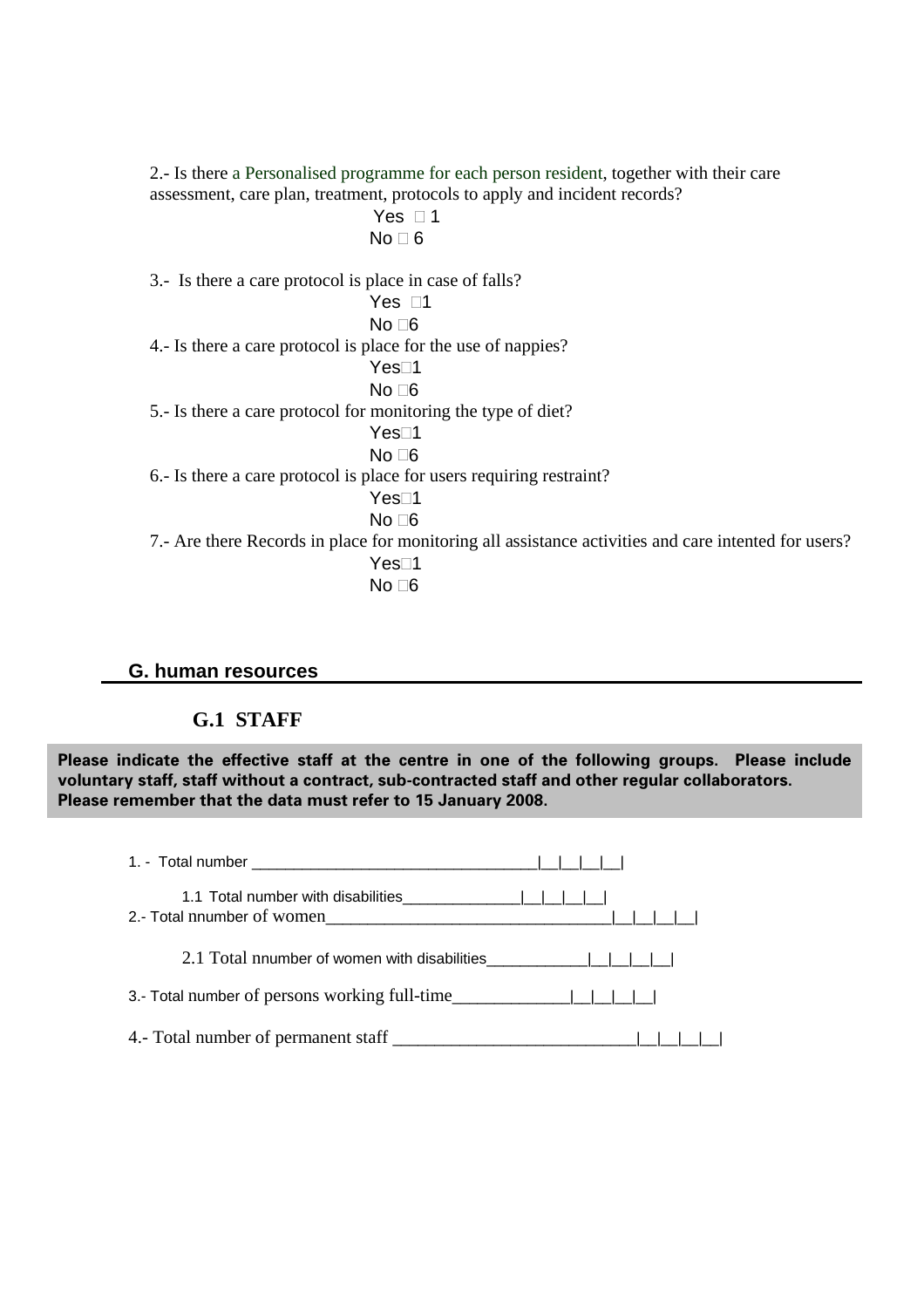2.- Is there a Personalised programme for each person resident, together with their care assessment, care plan, treatment, protocols to apply and incident records? Yes  $\Box$  1 No  $\Box$  6 3.- Is there a care protocol is place in case of falls? Yes  $\Box$ 1  $No <sub>6</sub>$ 4.- Is there a care protocol is place for the use of nappies? Yes<sup>∩1</sup>  $No <sub>6</sub>$ 5.- Is there a care protocol for monitoring the type of diet? Yes⊡1  $No <sub>6</sub>$ 6.- Is there a care protocol is place for users requiring restraint? Yes⊡1  $No \square 6$ 7.- Are there Records in place for monitoring all assistance activities and care intented for users? Yes<sup>∩1</sup>  $No <sub>6</sub>$ 

# **G. human resources**

# **G.1 STAFF**

**Please indicate the effective staff at the centre in one of the following groups. Please include voluntary staff, staff without a contract, sub-contracted staff and other regular collaborators. Please remember that the data must refer to 15 January 2008.**

| 3.- Total number of persons working full-time |  |
|-----------------------------------------------|--|
|                                               |  |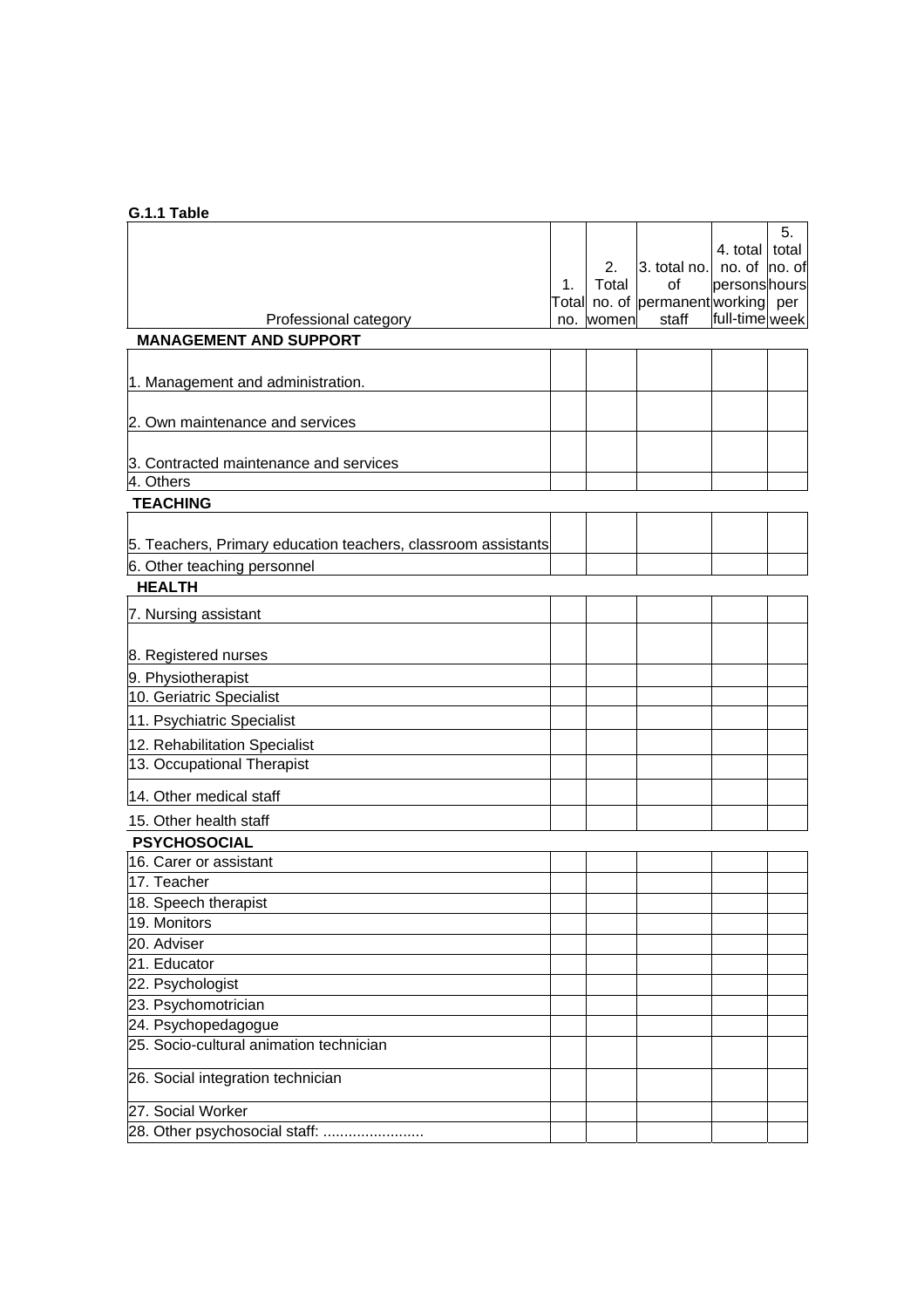# **G.1.1 Table**

|                                                               |    |           |                                    |                | 5. |
|---------------------------------------------------------------|----|-----------|------------------------------------|----------------|----|
|                                                               |    |           |                                    | 4. total total |    |
|                                                               |    | 2.        | 3. total no. no. of no. of         |                |    |
|                                                               | 1. | Total     | of                                 | personshours   |    |
|                                                               |    |           | Total no. of permanent working per |                |    |
| Professional category                                         |    | no. women | staff                              | full-time week |    |
| <b>MANAGEMENT AND SUPPORT</b>                                 |    |           |                                    |                |    |
|                                                               |    |           |                                    |                |    |
| 1. Management and administration.                             |    |           |                                    |                |    |
|                                                               |    |           |                                    |                |    |
| 2. Own maintenance and services                               |    |           |                                    |                |    |
|                                                               |    |           |                                    |                |    |
| 3. Contracted maintenance and services                        |    |           |                                    |                |    |
| 4. Others                                                     |    |           |                                    |                |    |
| <b>TEACHING</b>                                               |    |           |                                    |                |    |
|                                                               |    |           |                                    |                |    |
| 5. Teachers, Primary education teachers, classroom assistants |    |           |                                    |                |    |
| 6. Other teaching personnel                                   |    |           |                                    |                |    |
| <b>HEALTH</b>                                                 |    |           |                                    |                |    |
| 7. Nursing assistant                                          |    |           |                                    |                |    |
|                                                               |    |           |                                    |                |    |
| 8. Registered nurses                                          |    |           |                                    |                |    |
| 9. Physiotherapist                                            |    |           |                                    |                |    |
| 10. Geriatric Specialist                                      |    |           |                                    |                |    |
| 11. Psychiatric Specialist                                    |    |           |                                    |                |    |
| 12. Rehabilitation Specialist                                 |    |           |                                    |                |    |
| 13. Occupational Therapist                                    |    |           |                                    |                |    |
| 14. Other medical staff                                       |    |           |                                    |                |    |
| 15. Other health staff                                        |    |           |                                    |                |    |
| <b>PSYCHOSOCIAL</b>                                           |    |           |                                    |                |    |
| 16. Carer or assistant                                        |    |           |                                    |                |    |
| 17. Teacher                                                   |    |           |                                    |                |    |
| 18. Speech therapist                                          |    |           |                                    |                |    |
| 19. Monitors                                                  |    |           |                                    |                |    |
| 20. Adviser                                                   |    |           |                                    |                |    |
| 21. Educator                                                  |    |           |                                    |                |    |
| 22. Psychologist                                              |    |           |                                    |                |    |
| 23. Psychomotrician                                           |    |           |                                    |                |    |
| 24. Psychopedagogue                                           |    |           |                                    |                |    |
| 25. Socio-cultural animation technician                       |    |           |                                    |                |    |
|                                                               |    |           |                                    |                |    |
| 26. Social integration technician                             |    |           |                                    |                |    |
| 27. Social Worker                                             |    |           |                                    |                |    |
| 28. Other psychosocial staff:                                 |    |           |                                    |                |    |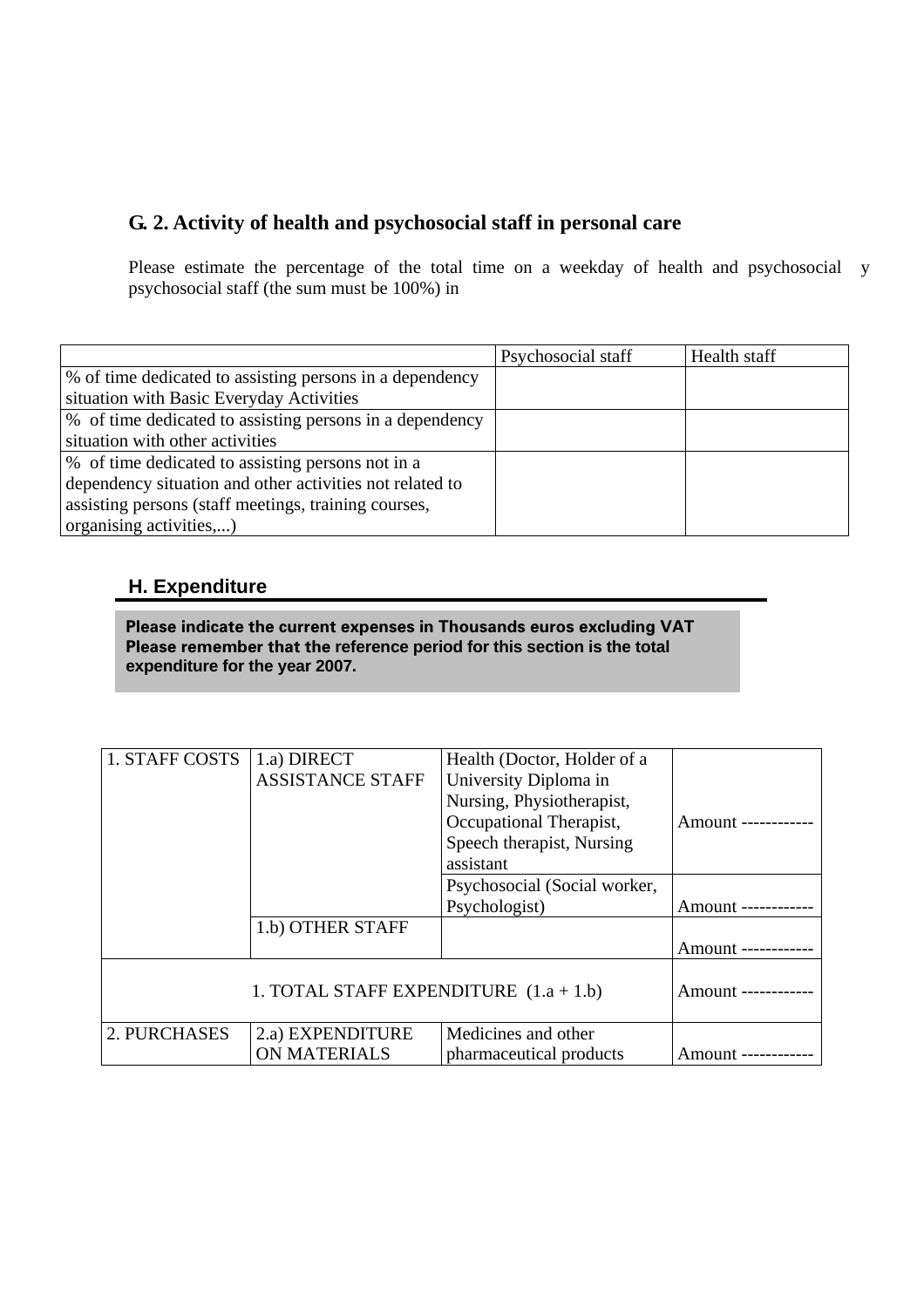# **G. 2. Activity of health and psychosocial staff in personal care**

Please estimate the percentage of the total time on a weekday of health and psychosocial y psychosocial staff (the sum must be 100%) in

|                                                          | Psychosocial staff | Health staff |
|----------------------------------------------------------|--------------------|--------------|
| % of time dedicated to assisting persons in a dependency |                    |              |
| situation with Basic Everyday Activities                 |                    |              |
| % of time dedicated to assisting persons in a dependency |                    |              |
| situation with other activities                          |                    |              |
| % of time dedicated to assisting persons not in a        |                    |              |
| dependency situation and other activities not related to |                    |              |
| assisting persons (staff meetings, training courses,     |                    |              |
| organising activities,)                                  |                    |              |

# **H. Expenditure**

 **Please indicate the current expenses in Thousands euros excluding VAT Please remember that the reference period for this section is the total expenditure for the year 2007.** 

| 1. STAFF COSTS                           | 1.a) DIRECT             | Health (Doctor, Holder of a  |                     |
|------------------------------------------|-------------------------|------------------------------|---------------------|
|                                          | <b>ASSISTANCE STAFF</b> | University Diploma in        |                     |
|                                          |                         | Nursing, Physiotherapist,    |                     |
|                                          |                         | Occupational Therapist,      | Amount ------------ |
|                                          |                         | Speech therapist, Nursing    |                     |
|                                          |                         | assistant                    |                     |
|                                          |                         | Psychosocial (Social worker, |                     |
|                                          |                         | Psychologist)                | Amount ------------ |
|                                          | 1.b) OTHER STAFF        |                              |                     |
|                                          |                         |                              | Amount ------------ |
|                                          |                         |                              |                     |
| 1. TOTAL STAFF EXPENDITURE $(1.a + 1.b)$ |                         | Amount ------------          |                     |
|                                          |                         |                              |                     |
| 2. PURCHASES                             | 2.a) EXPENDITURE        | Medicines and other          |                     |
|                                          | <b>ON MATERIALS</b>     | pharmaceutical products      | Amount ------------ |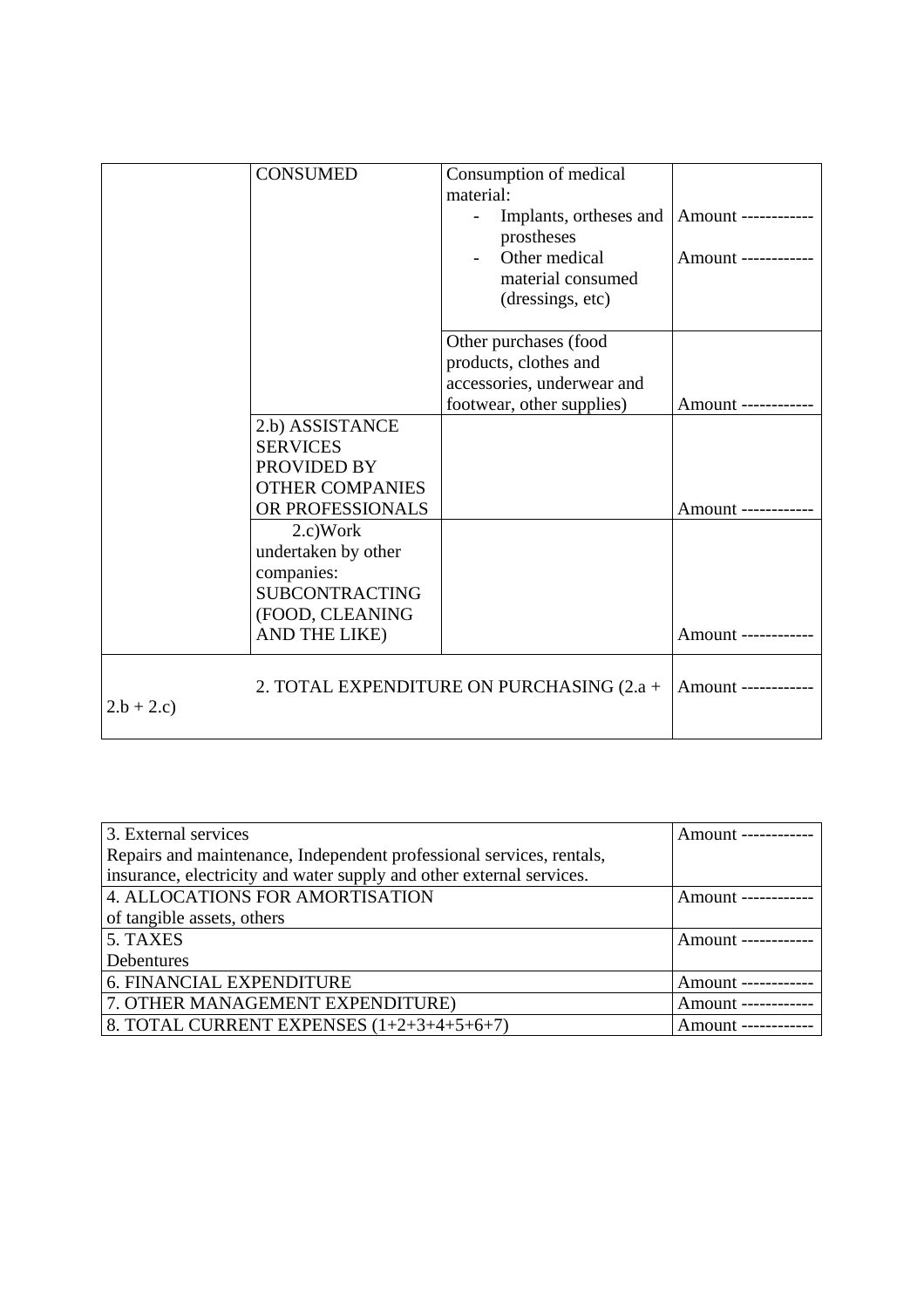|             | <b>CONSUMED</b>                           | Consumption of medical     |                     |
|-------------|-------------------------------------------|----------------------------|---------------------|
|             |                                           | material:                  |                     |
|             |                                           | Implants, ortheses and     | Amount ------------ |
|             |                                           | prostheses                 |                     |
|             |                                           | Other medical              | Amount ------------ |
|             |                                           | material consumed          |                     |
|             |                                           | (dressings, etc)           |                     |
|             |                                           |                            |                     |
|             |                                           | Other purchases (food      |                     |
|             |                                           | products, clothes and      |                     |
|             |                                           | accessories, underwear and |                     |
|             |                                           | footwear, other supplies)  | Amount ----------   |
|             | 2.b) ASSISTANCE                           |                            |                     |
|             | <b>SERVICES</b>                           |                            |                     |
|             | PROVIDED BY                               |                            |                     |
|             | <b>OTHER COMPANIES</b>                    |                            |                     |
|             | OR PROFESSIONALS                          |                            | Amount ----         |
|             | 2.c) Work                                 |                            |                     |
|             | undertaken by other                       |                            |                     |
|             | companies:                                |                            |                     |
|             | <b>SUBCONTRACTING</b>                     |                            |                     |
|             | (FOOD, CLEANING                           |                            |                     |
|             |                                           |                            |                     |
|             | AND THE LIKE)                             |                            | Amount -----------  |
|             |                                           |                            |                     |
|             | 2. TOTAL EXPENDITURE ON PURCHASING (2.a + |                            | Amount ------------ |
| $2.b + 2.c$ |                                           |                            |                     |
|             |                                           |                            |                     |

| 3. External services                                                 | Amount -----------  |
|----------------------------------------------------------------------|---------------------|
| Repairs and maintenance, Independent professional services, rentals, |                     |
| insurance, electricity and water supply and other external services. |                     |
| 4. ALLOCATIONS FOR AMORTISATION                                      | Amount ------------ |
| of tangible assets, others                                           |                     |
| 5. TAXES                                                             | Amount ------------ |
| Debentures                                                           |                     |
| <b>6. FINANCIAL EXPENDITURE</b>                                      | Amount ------------ |
| 7. OTHER MANAGEMENT EXPENDITURE)                                     | Amount ------------ |
| 8. TOTAL CURRENT EXPENSES $(1+2+3+4+5+6+7)$                          | Amount ------------ |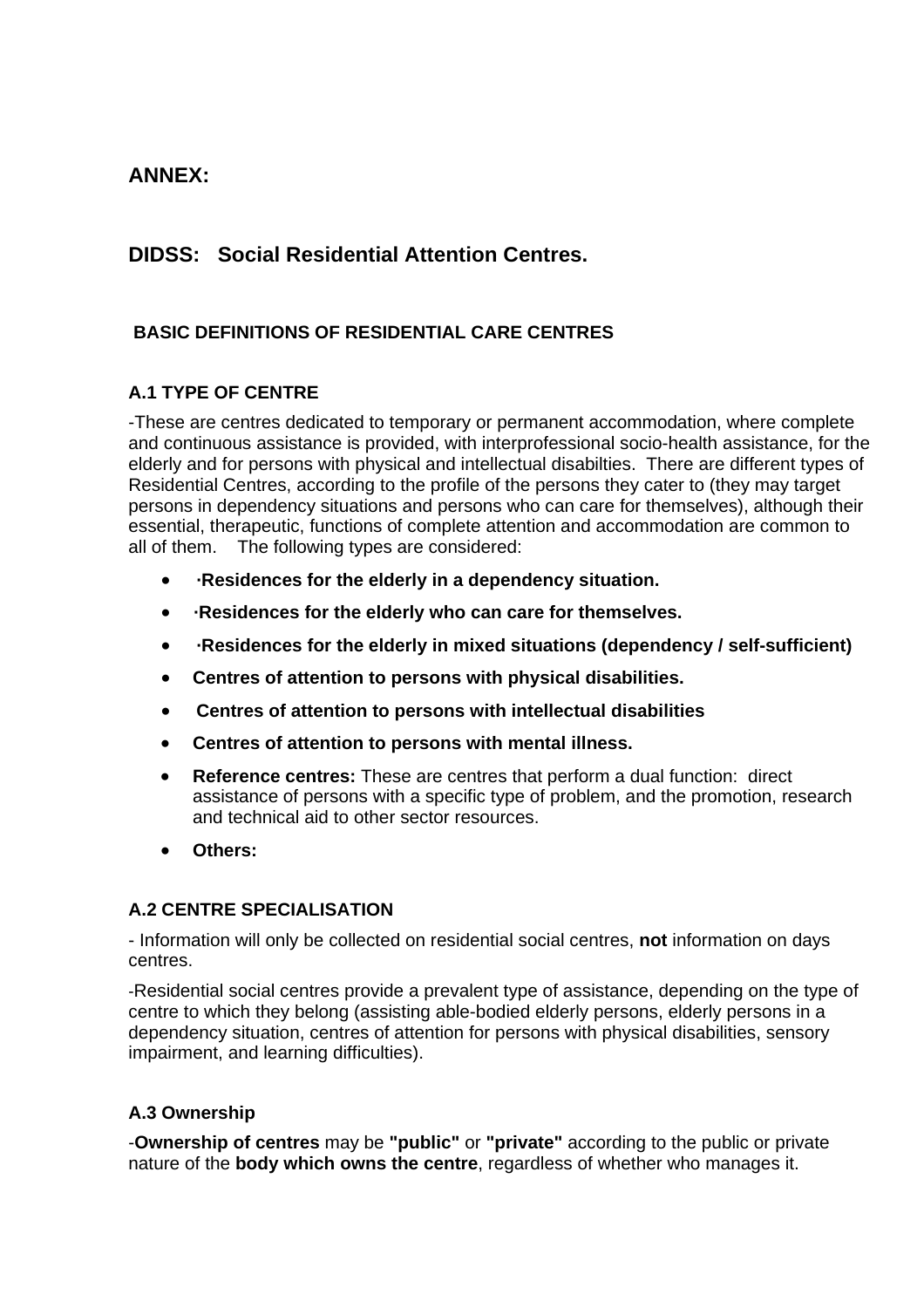# **ANNEX:**

# **DIDSS: Social Residential Attention Centres.**

# **BASIC DEFINITIONS OF RESIDENTIAL CARE CENTRES**

# **A.1 TYPE OF CENTRE**

-These are centres dedicated to temporary or permanent accommodation, where complete and continuous assistance is provided, with interprofessional socio-health assistance, for the elderly and for persons with physical and intellectual disabilties. There are different types of Residential Centres, according to the profile of the persons they cater to (they may target persons in dependency situations and persons who can care for themselves), although their essential, therapeutic, functions of complete attention and accommodation are common to all of them. The following types are considered:

- **·Residences for the elderly in a dependency situation.**
- **·Residences for the elderly who can care for themselves.**
- **·Residences for the elderly in mixed situations (dependency / self-sufficient)**
- **Centres of attention to persons with physical disabilities.**
- **Centres of attention to persons with intellectual disabilities**
- **Centres of attention to persons with mental illness.**
- **Reference centres:** These are centres that perform a dual function: direct assistance of persons with a specific type of problem, and the promotion, research and technical aid to other sector resources.
- **Others:**

# **A.2 CENTRE SPECIALISATION**

- Information will only be collected on residential social centres, **not** information on days centres.

-Residential social centres provide a prevalent type of assistance, depending on the type of centre to which they belong (assisting able-bodied elderly persons, elderly persons in a dependency situation, centres of attention for persons with physical disabilities, sensory impairment, and learning difficulties).

# **A.3 Ownership**

-**Ownership of centres** may be **"public"** or **"private"** according to the public or private nature of the **body which owns the centre**, regardless of whether who manages it.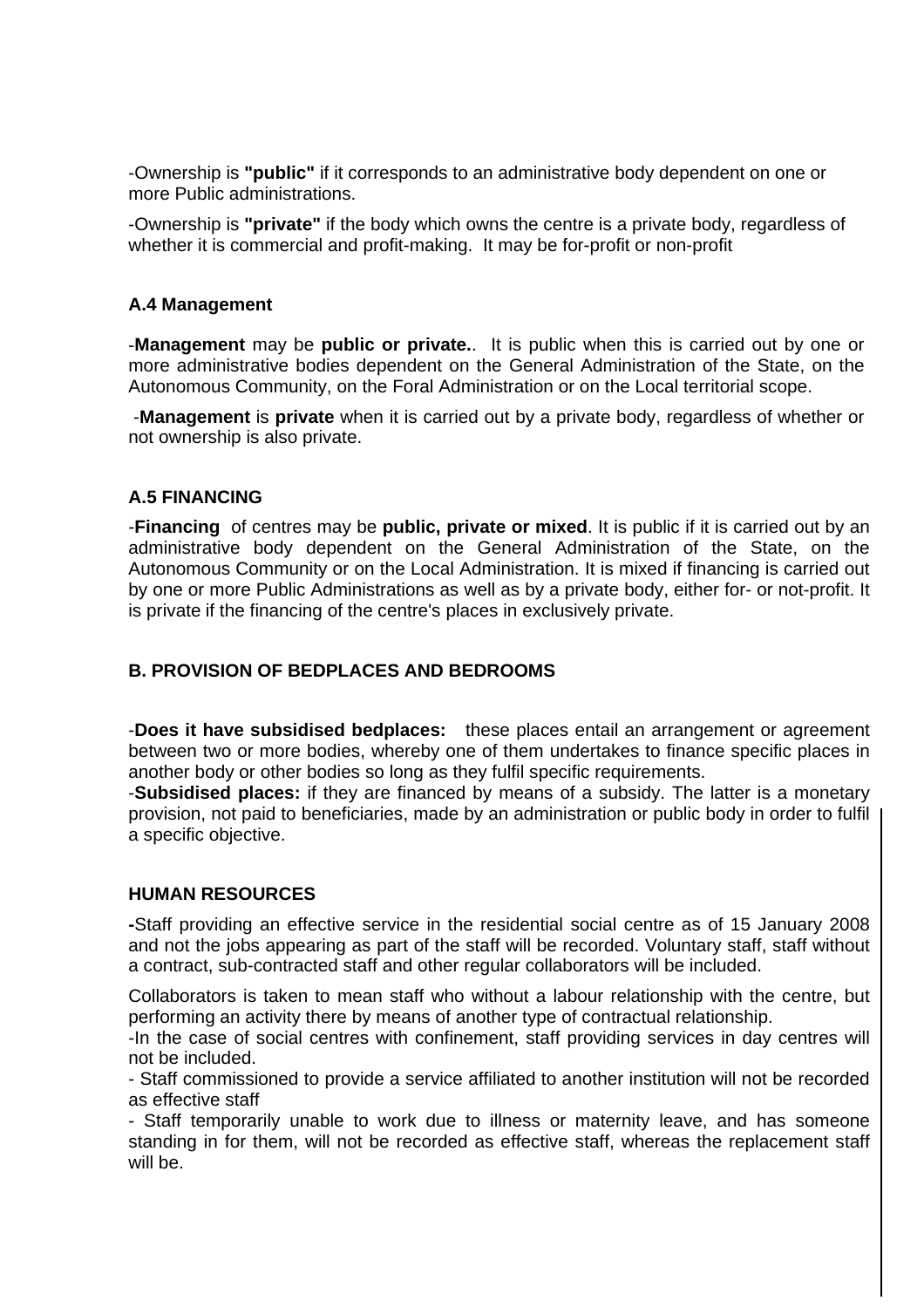-Ownership is **"public"** if it corresponds to an administrative body dependent on one or more Public administrations.

-Ownership is **"private"** if the body which owns the centre is a private body, regardless of whether it is commercial and profit-making. It may be for-profit or non-profit

### **A.4 Management**

-**Management** may be **public or private.**. It is public when this is carried out by one or more administrative bodies dependent on the General Administration of the State, on the Autonomous Community, on the Foral Administration or on the Local territorial scope.

 -**Management** is **private** when it is carried out by a private body, regardless of whether or not ownership is also private.

## **A.5 FINANCING**

-**Financing** of centres may be **public, private or mixed**. It is public if it is carried out by an administrative body dependent on the General Administration of the State, on the Autonomous Community or on the Local Administration. It is mixed if financing is carried out by one or more Public Administrations as well as by a private body, either for- or not-profit. It is private if the financing of the centre's places in exclusively private.

# **B. PROVISION OF BEDPLACES AND BEDROOMS**

-**Does it have subsidised bedplaces:** these places entail an arrangement or agreement between two or more bodies, whereby one of them undertakes to finance specific places in another body or other bodies so long as they fulfil specific requirements.

-**Subsidised places:** if they are financed by means of a subsidy. The latter is a monetary provision, not paid to beneficiaries, made by an administration or public body in order to fulfil a specific objective.

#### **HUMAN RESOURCES**

**-**Staff providing an effective service in the residential social centre as of 15 January 2008 and not the jobs appearing as part of the staff will be recorded. Voluntary staff, staff without a contract, sub-contracted staff and other regular collaborators will be included.

Collaborators is taken to mean staff who without a labour relationship with the centre, but performing an activity there by means of another type of contractual relationship.

-In the case of social centres with confinement, staff providing services in day centres will not be included.

- Staff commissioned to provide a service affiliated to another institution will not be recorded as effective staff

- Staff temporarily unable to work due to illness or maternity leave, and has someone standing in for them, will not be recorded as effective staff, whereas the replacement staff will be.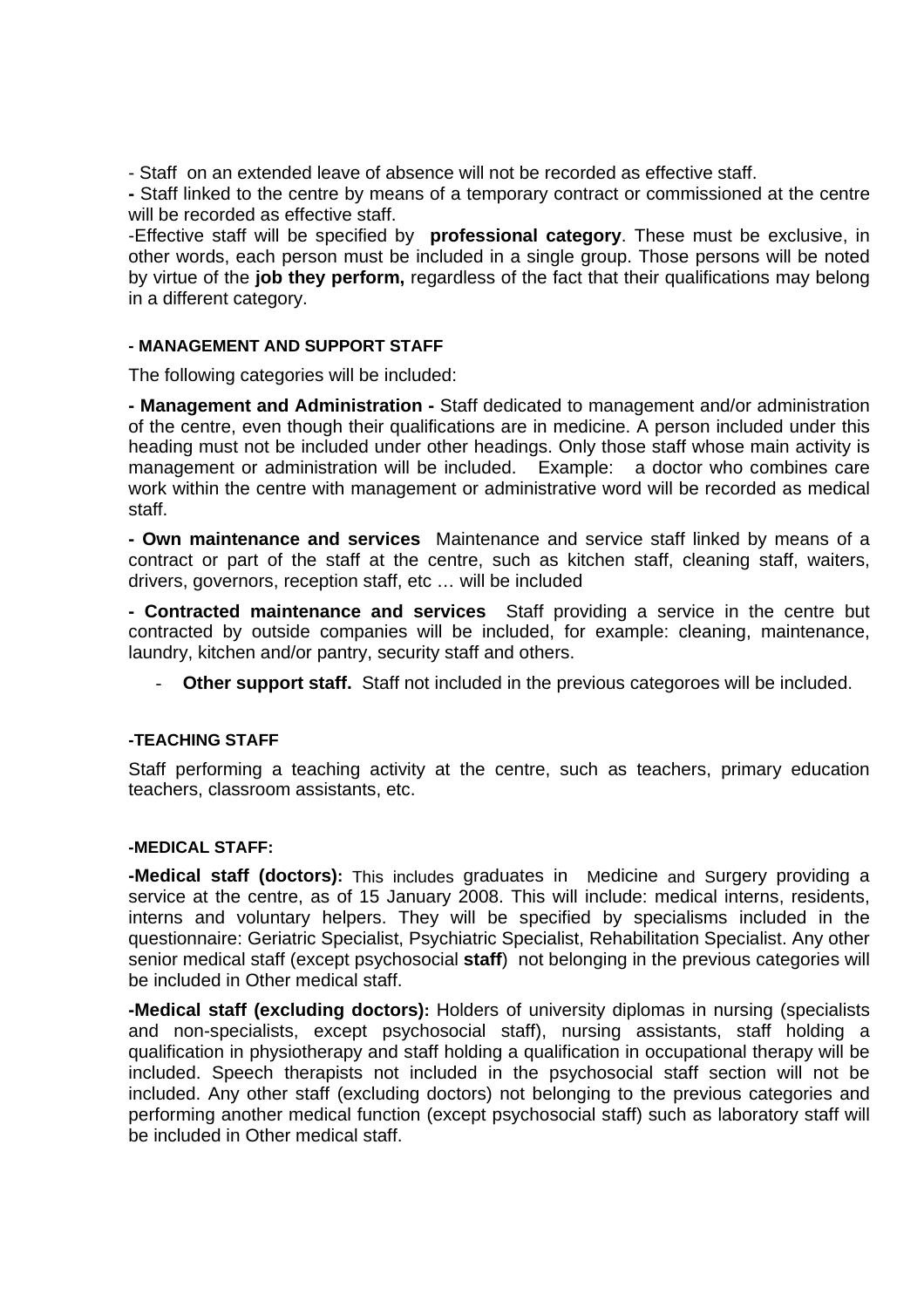- Staff on an extended leave of absence will not be recorded as effective staff.

**-** Staff linked to the centre by means of a temporary contract or commissioned at the centre will be recorded as effective staff.

-Effective staff will be specified by **professional category**. These must be exclusive, in other words, each person must be included in a single group. Those persons will be noted by virtue of the **job they perform,** regardless of the fact that their qualifications may belong in a different category.

## **- MANAGEMENT AND SUPPORT STAFF**

The following categories will be included:

**- Management and Administration -** Staff dedicated to management and/or administration of the centre, even though their qualifications are in medicine. A person included under this heading must not be included under other headings. Only those staff whose main activity is management or administration will be included. Example: a doctor who combines care work within the centre with management or administrative word will be recorded as medical staff.

**- Own maintenance and services** Maintenance and service staff linked by means of a contract or part of the staff at the centre, such as kitchen staff, cleaning staff, waiters, drivers, governors, reception staff, etc … will be included

**- Contracted maintenance and services** Staff providing a service in the centre but contracted by outside companies will be included, for example: cleaning, maintenance, laundry, kitchen and/or pantry, security staff and others.

Other support staff. Staff not included in the previous categoroes will be included.

### **-TEACHING STAFF**

Staff performing a teaching activity at the centre, such as teachers, primary education teachers, classroom assistants, etc.

#### **-MEDICAL STAFF:**

**-Medical staff (doctors):** This includes graduates in Medicine and Surgery providing a service at the centre, as of 15 January 2008. This will include: medical interns, residents, interns and voluntary helpers. They will be specified by specialisms included in the questionnaire: Geriatric Specialist, Psychiatric Specialist, Rehabilitation Specialist. Any other senior medical staff (except psychosocial **staff**) not belonging in the previous categories will be included in Other medical staff.

**-Medical staff (excluding doctors):** Holders of university diplomas in nursing (specialists and non-specialists, except psychosocial staff), nursing assistants, staff holding a qualification in physiotherapy and staff holding a qualification in occupational therapy will be included. Speech therapists not included in the psychosocial staff section will not be included. Any other staff (excluding doctors) not belonging to the previous categories and performing another medical function (except psychosocial staff) such as laboratory staff will be included in Other medical staff.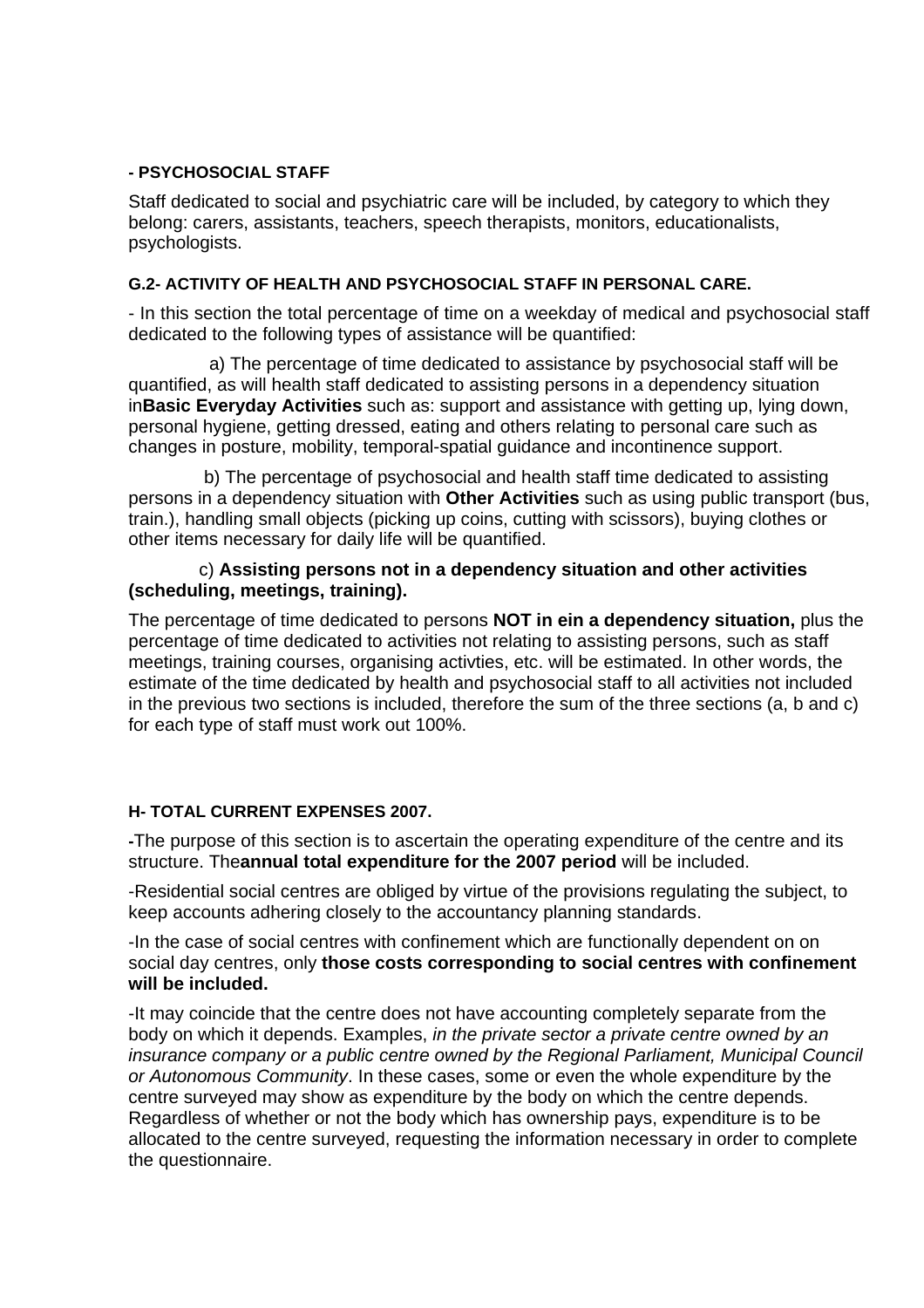# **- PSYCHOSOCIAL STAFF**

Staff dedicated to social and psychiatric care will be included, by category to which they belong: carers, assistants, teachers, speech therapists, monitors, educationalists, psychologists.

### **G.2- ACTIVITY OF HEALTH AND PSYCHOSOCIAL STAFF IN PERSONAL CARE.**

- In this section the total percentage of time on a weekday of medical and psychosocial staff dedicated to the following types of assistance will be quantified:

 a) The percentage of time dedicated to assistance by psychosocial staff will be quantified, as will health staff dedicated to assisting persons in a dependency situation in**Basic Everyday Activities** such as: support and assistance with getting up, lying down, personal hygiene, getting dressed, eating and others relating to personal care such as changes in posture, mobility, temporal-spatial guidance and incontinence support.

 b) The percentage of psychosocial and health staff time dedicated to assisting persons in a dependency situation with **Other Activities** such as using public transport (bus, train.), handling small objects (picking up coins, cutting with scissors), buying clothes or other items necessary for daily life will be quantified.

## c) **Assisting persons not in a dependency situation and other activities (scheduling, meetings, training).**

The percentage of time dedicated to persons **NOT in ein a dependency situation,** plus the percentage of time dedicated to activities not relating to assisting persons, such as staff meetings, training courses, organising activties, etc. will be estimated. In other words, the estimate of the time dedicated by health and psychosocial staff to all activities not included in the previous two sections is included, therefore the sum of the three sections (a, b and c) for each type of staff must work out 100%.

#### **H- TOTAL CURRENT EXPENSES 2007.**

**-**The purpose of this section is to ascertain the operating expenditure of the centre and its structure. The**annual total expenditure for the 2007 period** will be included.

-Residential social centres are obliged by virtue of the provisions regulating the subject, to keep accounts adhering closely to the accountancy planning standards.

-In the case of social centres with confinement which are functionally dependent on on social day centres, only **those costs corresponding to social centres with confinement will be included.** 

-It may coincide that the centre does not have accounting completely separate from the body on which it depends. Examples, *in the private sector a private centre owned by an insurance company or a public centre owned by the Regional Parliament, Municipal Council or Autonomous Community*. In these cases, some or even the whole expenditure by the centre surveyed may show as expenditure by the body on which the centre depends. Regardless of whether or not the body which has ownership pays, expenditure is to be allocated to the centre surveyed, requesting the information necessary in order to complete the questionnaire.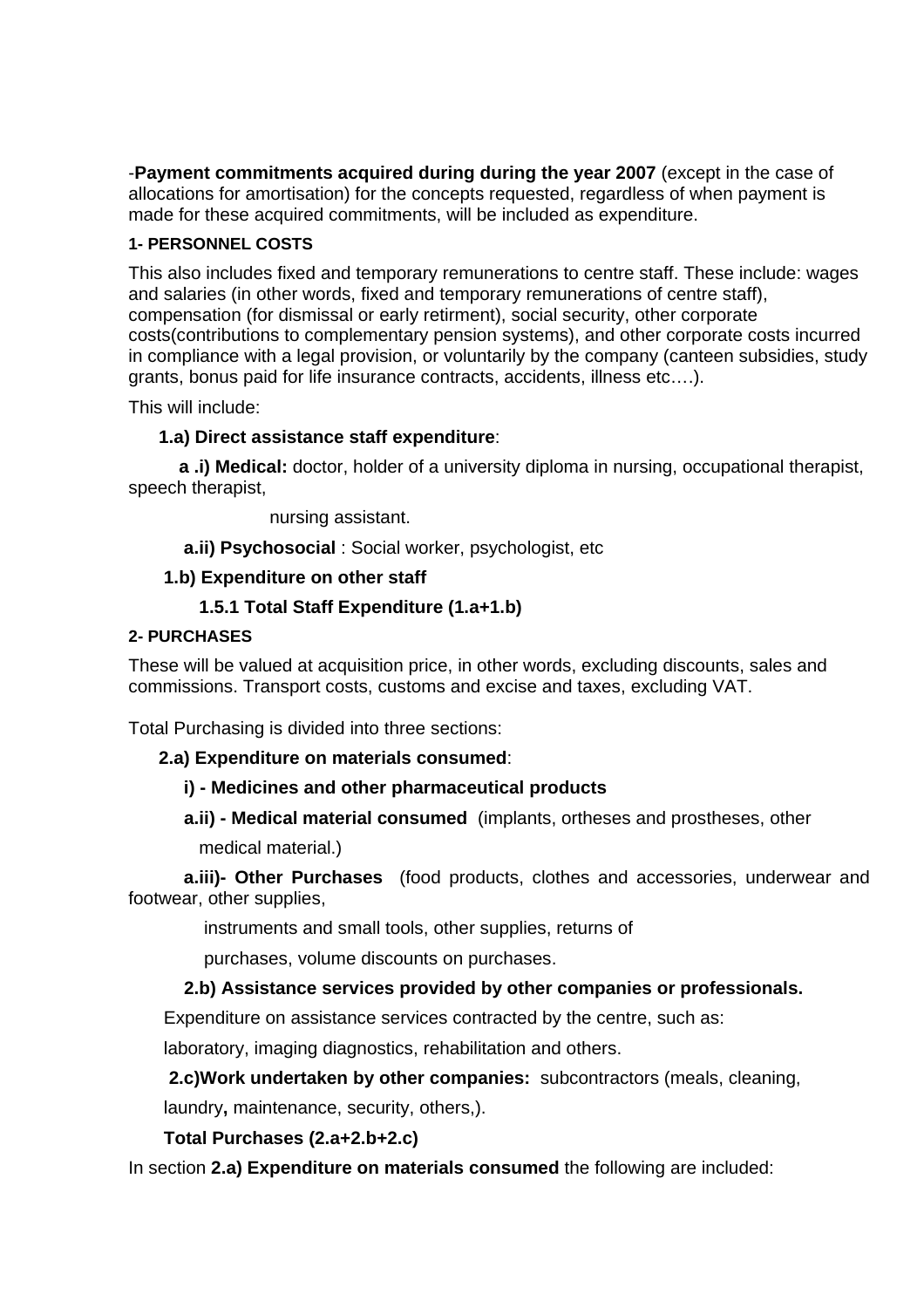-**Payment commitments acquired during during the year 2007** (except in the case of allocations for amortisation) for the concepts requested, regardless of when payment is made for these acquired commitments, will be included as expenditure.

# **1- PERSONNEL COSTS**

This also includes fixed and temporary remunerations to centre staff. These include: wages and salaries (in other words, fixed and temporary remunerations of centre staff), compensation (for dismissal or early retirment), social security, other corporate costs(contributions to complementary pension systems), and other corporate costs incurred in compliance with a legal provision, or voluntarily by the company (canteen subsidies, study grants, bonus paid for life insurance contracts, accidents, illness etc….).

This will include:

# **1.a) Direct assistance staff expenditure**:

 **a .i) Medical:** doctor, holder of a university diploma in nursing, occupational therapist, speech therapist,

nursing assistant.

**a.ii) Psychosocial** : Social worker, psychologist, etc

## **1.b) Expenditure on other staff**

# **1.5.1 Total Staff Expenditure (1.a+1.b)**

#### **2- PURCHASES**

These will be valued at acquisition price, in other words, excluding discounts, sales and commissions. Transport costs, customs and excise and taxes, excluding VAT.

Total Purchasing is divided into three sections:

#### **2.a) Expenditure on materials consumed**:

#### **i) - Medicines and other pharmaceutical products**

 **a.ii) - Medical material consumed** (implants, ortheses and prostheses, other medical material.)

 **a.iii)- Other Purchases** (food products, clothes and accessories, underwear and footwear, other supplies,

instruments and small tools, other supplies, returns of

purchases, volume discounts on purchases.

# **2.b) Assistance services provided by other companies or professionals.**

Expenditure on assistance services contracted by the centre, such as:

laboratory, imaging diagnostics, rehabilitation and others.

**2.c)Work undertaken by other companies:** subcontractors (meals, cleaning,

laundry**,** maintenance, security, others,).

#### **Total Purchases (2.a+2.b+2.c)**

In section **2.a) Expenditure on materials consumed** the following are included: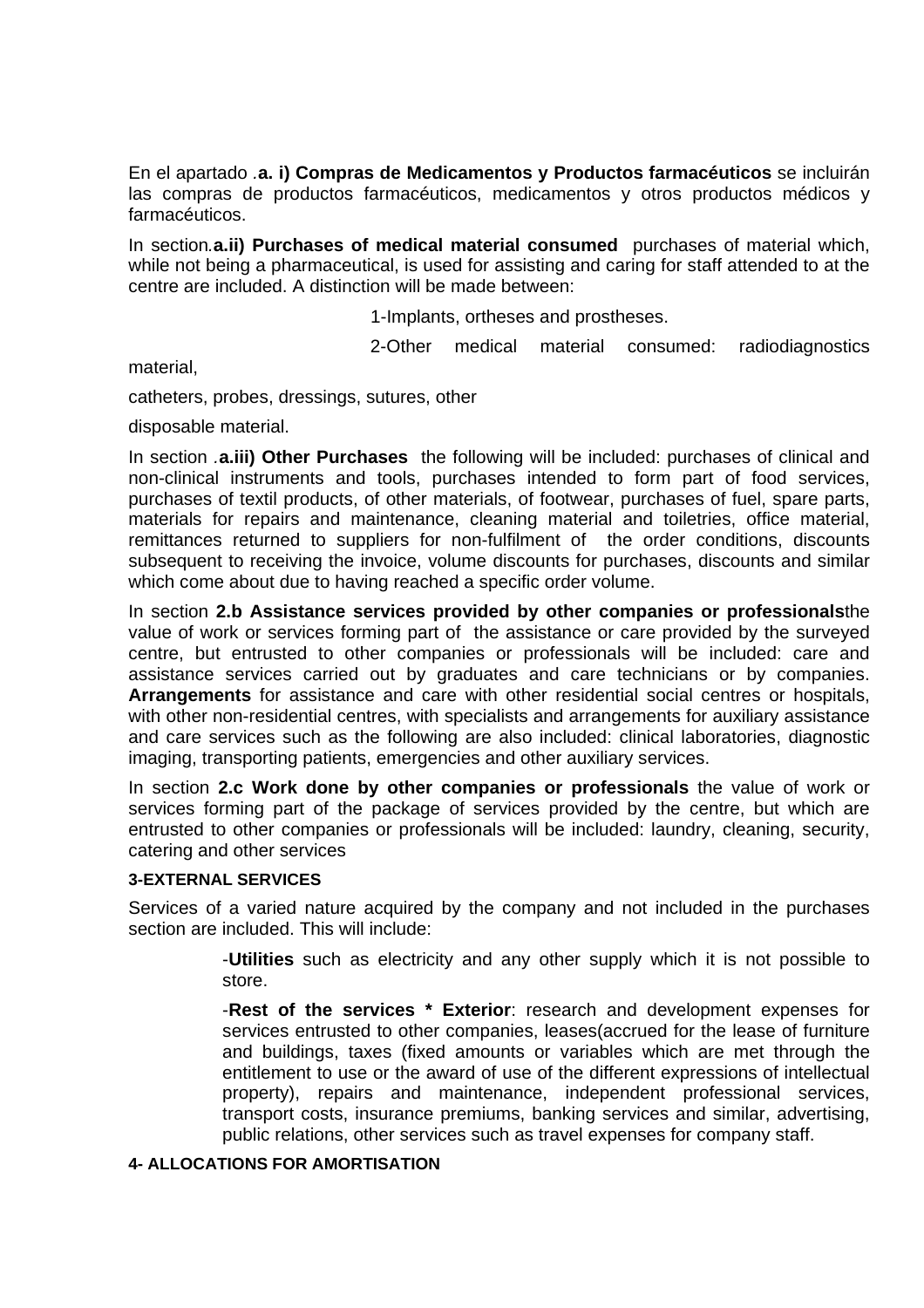En el apartado *.***a. i) Compras de Medicamentos y Productos farmacéuticos** se incluirán las compras de productos farmacéuticos, medicamentos y otros productos médicos y farmacéuticos.

In section*.***a.ii) Purchases of medical material consumed** purchases of material which, while not being a pharmaceutical, is used for assisting and caring for staff attended to at the centre are included. A distinction will be made between:

1-Implants, ortheses and prostheses.

2-Other medical material consumed: radiodiagnostics

material,

catheters, probes, dressings, sutures, other

disposable material.

In section *.***a.iii) Other Purchases** the following will be included: purchases of clinical and non-clinical instruments and tools, purchases intended to form part of food services, purchases of textil products, of other materials, of footwear, purchases of fuel, spare parts, materials for repairs and maintenance, cleaning material and toiletries, office material, remittances returned to suppliers for non-fulfilment of the order conditions, discounts subsequent to receiving the invoice, volume discounts for purchases, discounts and similar which come about due to having reached a specific order volume.

In section **2.b Assistance services provided by other companies or professionals**the value of work or services forming part of the assistance or care provided by the surveyed centre, but entrusted to other companies or professionals will be included: care and assistance services carried out by graduates and care technicians or by companies. **Arrangements** for assistance and care with other residential social centres or hospitals, with other non-residential centres, with specialists and arrangements for auxiliary assistance and care services such as the following are also included: clinical laboratories, diagnostic imaging, transporting patients, emergencies and other auxiliary services.

In section **2.c Work done by other companies or professionals** the value of work or services forming part of the package of services provided by the centre, but which are entrusted to other companies or professionals will be included: laundry, cleaning, security, catering and other services

### **3-EXTERNAL SERVICES**

Services of a varied nature acquired by the company and not included in the purchases section are included. This will include:

> -**Utilities** such as electricity and any other supply which it is not possible to store.

> -**Rest of the services \* Exterior**: research and development expenses for services entrusted to other companies, leases(accrued for the lease of furniture and buildings, taxes (fixed amounts or variables which are met through the entitlement to use or the award of use of the different expressions of intellectual property), repairs and maintenance, independent professional services, transport costs, insurance premiums, banking services and similar, advertising, public relations, other services such as travel expenses for company staff.

# **4- ALLOCATIONS FOR AMORTISATION**